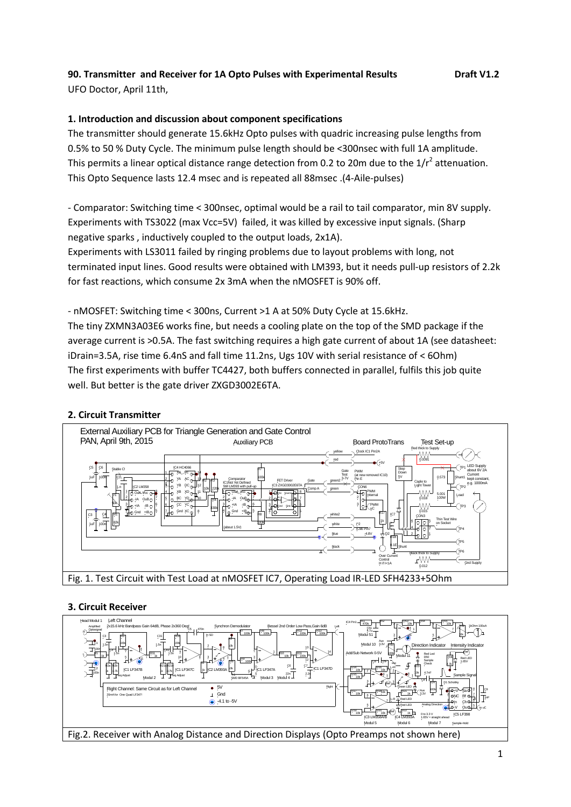# **90. Transmitter and Receiver for 1A Opto Pulses with Experimental Results Draft V1.2**

UFO Doctor, April 11th,

# **1. Introduction and discussion about component specifications**

The transmitter should generate 15.6kHz Opto pulses with quadric increasing pulse lengths from 0.5% to 50 % Duty Cycle. The minimum pulse length should be <300nsec with full 1A amplitude. This permits a linear optical distance range detection from 0.2 to 20m due to the 1/ $r^2$  attenuation. This Opto Sequence lasts 12.4 msec and is repeated all 88msec .(4-Aile-pulses)

- Comparator: Switching time < 300nsec, optimal would be a rail to tail comparator, min 8V supply. Experiments with TS3022 (max Vcc=5V) failed, it was killed by excessive input signals. (Sharp negative sparks , inductively coupled to the output loads, 2x1A).

Experiments with LS3011 failed by ringing problems due to layout problems with long, not terminated input lines. Good results were obtained with LM393, but it needs pull-up resistors of 2.2k for fast reactions, which consume 2x 3mA when the nMOSFET is 90% off.

- nMOSFET: Switching time < 300ns, Current >1 A at 50% Duty Cycle at 15.6kHz.

The tiny ZXMN3A03E6 works fine, but needs a cooling plate on the top of the SMD package if the average current is >0.5A. The fast switching requires a high gate current of about 1A (see datasheet: iDrain=3.5A, rise time 6.4nS and fall time 11.2ns, Ugs 10V with serial resistance of < 6Ohm) The first experiments with buffer TC4427, both buffers connected in parallel, fulfils this job quite well. But better is the gate driver ZXGD3002E6TA.

# **2. Circuit Transmitter**



### **3. Circuit Receiver**

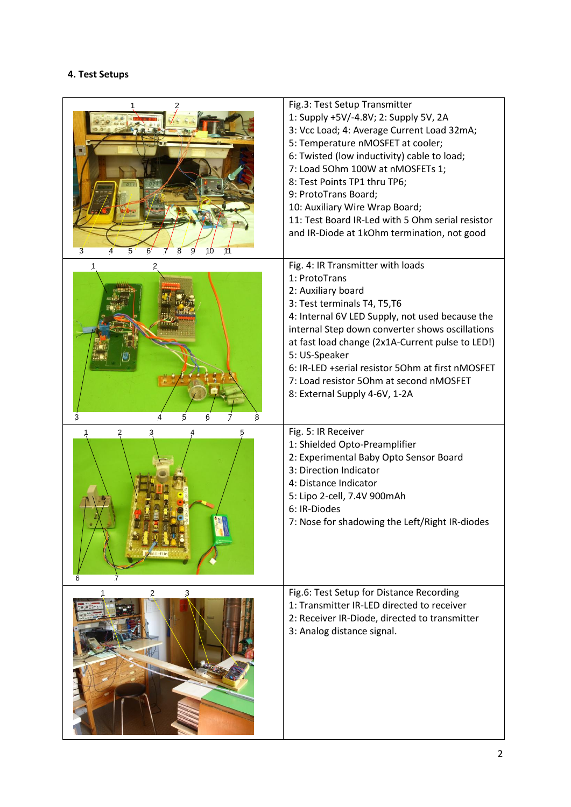### **4. Test Setups**

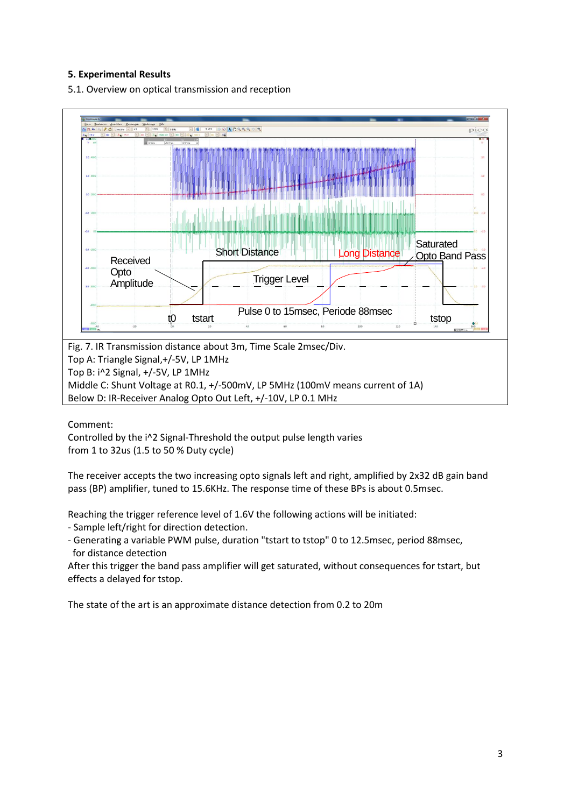# **5. Experimental Results**

5.1. Overview on optical transmission and reception



Below D: IR-Receiver Analog Opto Out Left, +/-10V, LP 0.1 MHz

Comment:

Controlled by the i^2 Signal-Threshold the output pulse length varies from 1 to 32us (1.5 to 50 % Duty cycle)

The receiver accepts the two increasing opto signals left and right, amplified by 2x32 dB gain band pass (BP) amplifier, tuned to 15.6KHz. The response time of these BPs is about 0.5msec.

Reaching the trigger reference level of 1.6V the following actions will be initiated:

- Sample left/right for direction detection.

- Generating a variable PWM pulse, duration "tstart to tstop" 0 to 12.5msec, period 88msec, for distance detection

After this trigger the band pass amplifier will get saturated, without consequences for tstart, but effects a delayed for tstop.

The state of the art is an approximate distance detection from 0.2 to 20m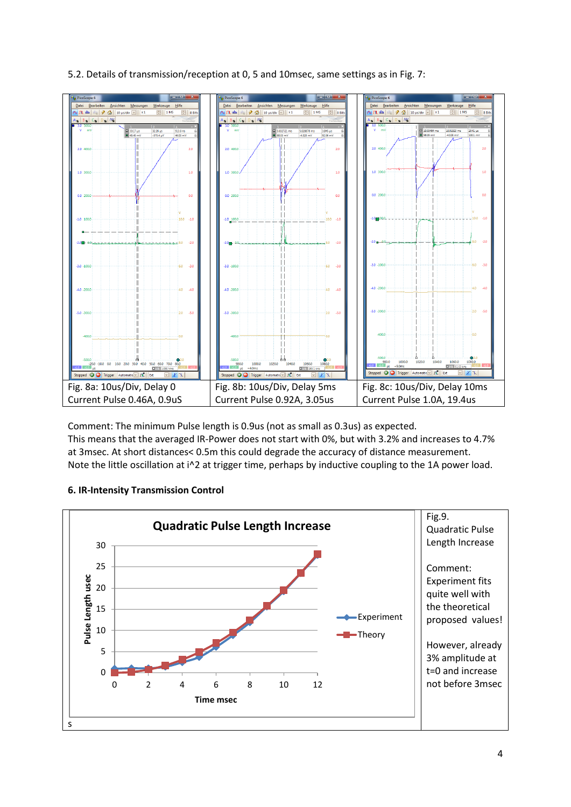



Comment: The minimum Pulse length is 0.9us (not as small as 0.3us) as expected. This means that the averaged IR-Power does not start with 0%, but with 3.2% and increases to 4.7% at 3msec. At short distances< 0.5m this could degrade the accuracy of distance measurement. Note the little oscillation at i^2 at trigger time, perhaps by inductive coupling to the 1A power load.

# **6. IR-Intensity Transmission Control**

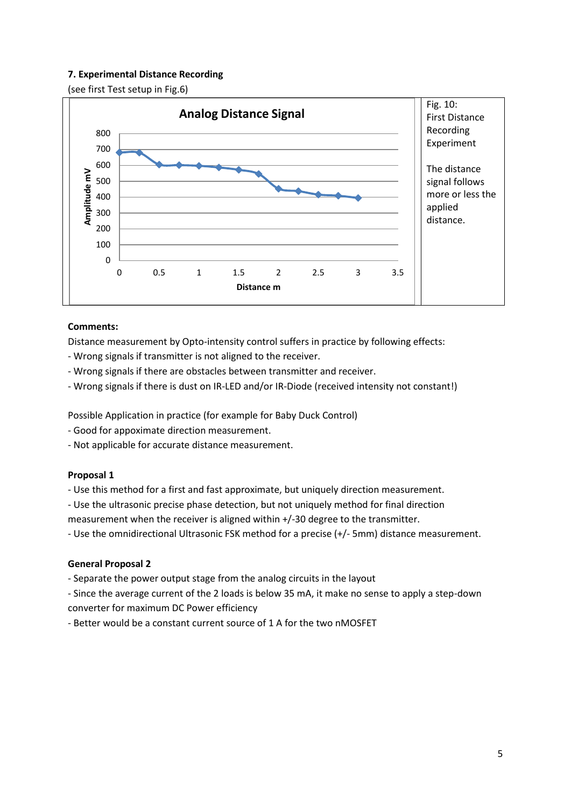# **7. Experimental Distance Recording**

(see first Test setup in Fig.6)



## **Comments:**

Distance measurement by Opto-intensity control suffers in practice by following effects:

- Wrong signals if transmitter is not aligned to the receiver.
- Wrong signals if there are obstacles between transmitter and receiver.
- Wrong signals if there is dust on IR-LED and/or IR-Diode (received intensity not constant!)

Possible Application in practice (for example for Baby Duck Control)

- Good for appoximate direction measurement.
- Not applicable for accurate distance measurement.

### **Proposal 1**

- Use this method for a first and fast approximate, but uniquely direction measurement.

- Use the ultrasonic precise phase detection, but not uniquely method for final direction

measurement when the receiver is aligned within +/-30 degree to the transmitter.

- Use the omnidirectional Ultrasonic FSK method for a precise (+/- 5mm) distance measurement.

# **General Proposal 2**

- Separate the power output stage from the analog circuits in the layout

- Since the average current of the 2 loads is below 35 mA, it make no sense to apply a step-down converter for maximum DC Power efficiency

- Better would be a constant current source of 1 A for the two nMOSFET